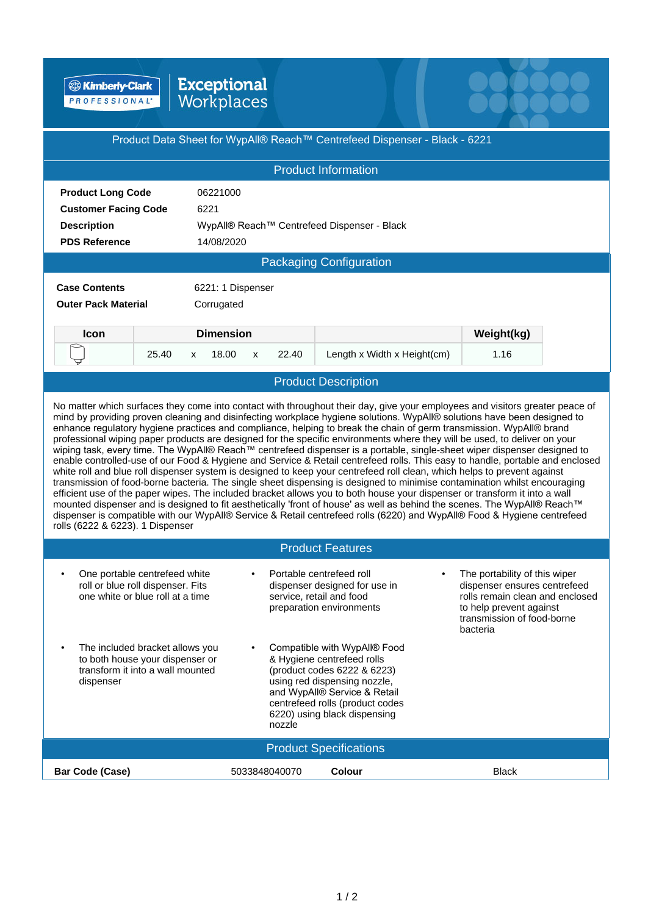**B** Kimberly-Clark

## Exceptional<br>Workplaces

| Product Data Sheet for WypAll® Reach™ Centrefeed Dispenser - Black - 6221<br><b>Product Information</b><br><b>Product Long Code</b><br>06221000<br><b>Customer Facing Code</b><br>6221<br>WypAll® Reach™ Centrefeed Dispenser - Black<br><b>Description</b><br><b>PDS Reference</b><br>14/08/2020<br><b>Packaging Configuration</b><br><b>Case Contents</b><br>6221: 1 Dispenser<br><b>Outer Pack Material</b><br>Corrugated                                                                                                                                                                                                                                                                                                                                                                                                                                                                                                                                                                                                                                                                                                                                                                                                                                                                                                                                                                                                                               |  |  |  |  |  |  |  |
|------------------------------------------------------------------------------------------------------------------------------------------------------------------------------------------------------------------------------------------------------------------------------------------------------------------------------------------------------------------------------------------------------------------------------------------------------------------------------------------------------------------------------------------------------------------------------------------------------------------------------------------------------------------------------------------------------------------------------------------------------------------------------------------------------------------------------------------------------------------------------------------------------------------------------------------------------------------------------------------------------------------------------------------------------------------------------------------------------------------------------------------------------------------------------------------------------------------------------------------------------------------------------------------------------------------------------------------------------------------------------------------------------------------------------------------------------------|--|--|--|--|--|--|--|
|                                                                                                                                                                                                                                                                                                                                                                                                                                                                                                                                                                                                                                                                                                                                                                                                                                                                                                                                                                                                                                                                                                                                                                                                                                                                                                                                                                                                                                                            |  |  |  |  |  |  |  |
|                                                                                                                                                                                                                                                                                                                                                                                                                                                                                                                                                                                                                                                                                                                                                                                                                                                                                                                                                                                                                                                                                                                                                                                                                                                                                                                                                                                                                                                            |  |  |  |  |  |  |  |
|                                                                                                                                                                                                                                                                                                                                                                                                                                                                                                                                                                                                                                                                                                                                                                                                                                                                                                                                                                                                                                                                                                                                                                                                                                                                                                                                                                                                                                                            |  |  |  |  |  |  |  |
|                                                                                                                                                                                                                                                                                                                                                                                                                                                                                                                                                                                                                                                                                                                                                                                                                                                                                                                                                                                                                                                                                                                                                                                                                                                                                                                                                                                                                                                            |  |  |  |  |  |  |  |
|                                                                                                                                                                                                                                                                                                                                                                                                                                                                                                                                                                                                                                                                                                                                                                                                                                                                                                                                                                                                                                                                                                                                                                                                                                                                                                                                                                                                                                                            |  |  |  |  |  |  |  |
|                                                                                                                                                                                                                                                                                                                                                                                                                                                                                                                                                                                                                                                                                                                                                                                                                                                                                                                                                                                                                                                                                                                                                                                                                                                                                                                                                                                                                                                            |  |  |  |  |  |  |  |
|                                                                                                                                                                                                                                                                                                                                                                                                                                                                                                                                                                                                                                                                                                                                                                                                                                                                                                                                                                                                                                                                                                                                                                                                                                                                                                                                                                                                                                                            |  |  |  |  |  |  |  |
|                                                                                                                                                                                                                                                                                                                                                                                                                                                                                                                                                                                                                                                                                                                                                                                                                                                                                                                                                                                                                                                                                                                                                                                                                                                                                                                                                                                                                                                            |  |  |  |  |  |  |  |
|                                                                                                                                                                                                                                                                                                                                                                                                                                                                                                                                                                                                                                                                                                                                                                                                                                                                                                                                                                                                                                                                                                                                                                                                                                                                                                                                                                                                                                                            |  |  |  |  |  |  |  |
|                                                                                                                                                                                                                                                                                                                                                                                                                                                                                                                                                                                                                                                                                                                                                                                                                                                                                                                                                                                                                                                                                                                                                                                                                                                                                                                                                                                                                                                            |  |  |  |  |  |  |  |
| <b>Dimension</b><br>Weight(kg)<br><b>Icon</b>                                                                                                                                                                                                                                                                                                                                                                                                                                                                                                                                                                                                                                                                                                                                                                                                                                                                                                                                                                                                                                                                                                                                                                                                                                                                                                                                                                                                              |  |  |  |  |  |  |  |
| 25.40<br>Length x Width x Height(cm)<br>18.00<br>22.40<br>1.16<br>X<br>X                                                                                                                                                                                                                                                                                                                                                                                                                                                                                                                                                                                                                                                                                                                                                                                                                                                                                                                                                                                                                                                                                                                                                                                                                                                                                                                                                                                   |  |  |  |  |  |  |  |
| <b>Product Description</b>                                                                                                                                                                                                                                                                                                                                                                                                                                                                                                                                                                                                                                                                                                                                                                                                                                                                                                                                                                                                                                                                                                                                                                                                                                                                                                                                                                                                                                 |  |  |  |  |  |  |  |
| No matter which surfaces they come into contact with throughout their day, give your employees and visitors greater peace of<br>mind by providing proven cleaning and disinfecting workplace hygiene solutions. WypAll® solutions have been designed to<br>enhance regulatory hygiene practices and compliance, helping to break the chain of germ transmission. WypAll® brand<br>professional wiping paper products are designed for the specific environments where they will be used, to deliver on your<br>wiping task, every time. The WypAll® Reach™ centrefeed dispenser is a portable, single-sheet wiper dispenser designed to<br>enable controlled-use of our Food & Hygiene and Service & Retail centrefeed rolls. This easy to handle, portable and enclosed<br>white roll and blue roll dispenser system is designed to keep your centrefeed roll clean, which helps to prevent against<br>transmission of food-borne bacteria. The single sheet dispensing is designed to minimise contamination whilst encouraging<br>efficient use of the paper wipes. The included bracket allows you to both house your dispenser or transform it into a wall<br>mounted dispenser and is designed to fit aesthetically 'front of house' as well as behind the scenes. The WypAll® Reach™<br>dispenser is compatible with our WypAll® Service & Retail centrefeed rolls (6220) and WypAll® Food & Hygiene centrefeed<br>rolls (6222 & 6223). 1 Dispenser |  |  |  |  |  |  |  |
| <b>Product Features</b>                                                                                                                                                                                                                                                                                                                                                                                                                                                                                                                                                                                                                                                                                                                                                                                                                                                                                                                                                                                                                                                                                                                                                                                                                                                                                                                                                                                                                                    |  |  |  |  |  |  |  |
| The portability of this wiper<br>One portable centrefeed white<br>Portable centrefeed roll<br>roll or blue roll dispenser. Fits<br>dispenser ensures centrefeed<br>dispenser designed for use in<br>one white or blue roll at a time<br>service, retail and food<br>rolls remain clean and enclosed<br>to help prevent against<br>preparation environments<br>transmission of food-borne<br>bacteria                                                                                                                                                                                                                                                                                                                                                                                                                                                                                                                                                                                                                                                                                                                                                                                                                                                                                                                                                                                                                                                       |  |  |  |  |  |  |  |
| Compatible with WypAll® Food<br>The included bracket allows you<br>$\bullet$<br>to both house your dispenser or<br>& Hygiene centrefeed rolls<br>transform it into a wall mounted<br>(product codes 6222 & 6223)<br>using red dispensing nozzle,<br>dispenser<br>and WypAll® Service & Retail<br>centrefeed rolls (product codes<br>6220) using black dispensing<br>nozzle                                                                                                                                                                                                                                                                                                                                                                                                                                                                                                                                                                                                                                                                                                                                                                                                                                                                                                                                                                                                                                                                                 |  |  |  |  |  |  |  |
| <b>Product Specifications</b>                                                                                                                                                                                                                                                                                                                                                                                                                                                                                                                                                                                                                                                                                                                                                                                                                                                                                                                                                                                                                                                                                                                                                                                                                                                                                                                                                                                                                              |  |  |  |  |  |  |  |
| Colour<br><b>Bar Code (Case)</b><br>5033848040070<br><b>Black</b>                                                                                                                                                                                                                                                                                                                                                                                                                                                                                                                                                                                                                                                                                                                                                                                                                                                                                                                                                                                                                                                                                                                                                                                                                                                                                                                                                                                          |  |  |  |  |  |  |  |

ee beel